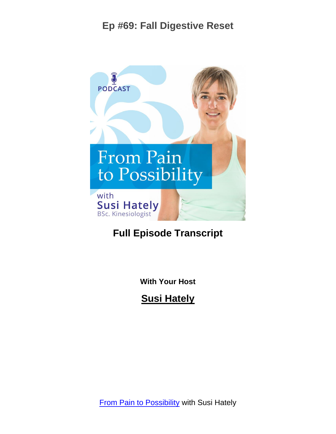

# **Full Episode Transcript**

**With Your Host**

**Susi Hately**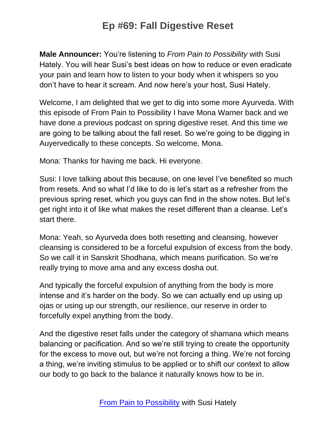**Male Announcer:** You're listening to *From Pain to Possibility* with Susi Hately. You will hear Susi's best ideas on how to reduce or even eradicate your pain and learn how to listen to your body when it whispers so you don't have to hear it scream. And now here's your host, Susi Hately.

Welcome, I am delighted that we get to dig into some more Ayurveda. With this episode of From Pain to Possibility I have Mona Warner back and we have done a previous podcast on spring digestive reset. And this time we are going to be talking about the fall reset. So we're going to be digging in Auyervedically to these concepts. So welcome, Mona.

Mona: Thanks for having me back. Hi everyone.

Susi: I love talking about this because, on one level I've benefited so much from resets. And so what I'd like to do is let's start as a refresher from the previous spring reset, which you guys can find in the show notes. But let's get right into it of like what makes the reset different than a cleanse. Let's start there.

Mona: Yeah, so Ayurveda does both resetting and cleansing, however cleansing is considered to be a forceful expulsion of excess from the body. So we call it in Sanskrit Shodhana, which means purification. So we're really trying to move ama and any excess dosha out.

And typically the forceful expulsion of anything from the body is more intense and it's harder on the body. So we can actually end up using up ojas or using up our strength, our resilience, our reserve in order to forcefully expel anything from the body.

And the digestive reset falls under the category of shamana which means balancing or pacification. And so we're still trying to create the opportunity for the excess to move out, but we're not forcing a thing. We're not forcing a thing, we're inviting stimulus to be applied or to shift our context to allow our body to go back to the balance it naturally knows how to be in.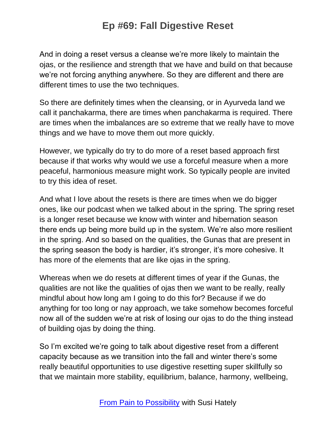And in doing a reset versus a cleanse we're more likely to maintain the ojas, or the resilience and strength that we have and build on that because we're not forcing anything anywhere. So they are different and there are different times to use the two techniques.

So there are definitely times when the cleansing, or in Ayurveda land we call it panchakarma, there are times when panchakarma is required. There are times when the imbalances are so extreme that we really have to move things and we have to move them out more quickly.

However, we typically do try to do more of a reset based approach first because if that works why would we use a forceful measure when a more peaceful, harmonious measure might work. So typically people are invited to try this idea of reset.

And what I love about the resets is there are times when we do bigger ones, like our podcast when we talked about in the spring. The spring reset is a longer reset because we know with winter and hibernation season there ends up being more build up in the system. We're also more resilient in the spring. And so based on the qualities, the Gunas that are present in the spring season the body is hardier, it's stronger, it's more cohesive. It has more of the elements that are like ojas in the spring.

Whereas when we do resets at different times of year if the Gunas, the qualities are not like the qualities of ojas then we want to be really, really mindful about how long am I going to do this for? Because if we do anything for too long or nay approach, we take somehow becomes forceful now all of the sudden we're at risk of losing our ojas to do the thing instead of building ojas by doing the thing.

So I'm excited we're going to talk about digestive reset from a different capacity because as we transition into the fall and winter there's some really beautiful opportunities to use digestive resetting super skillfully so that we maintain more stability, equilibrium, balance, harmony, wellbeing,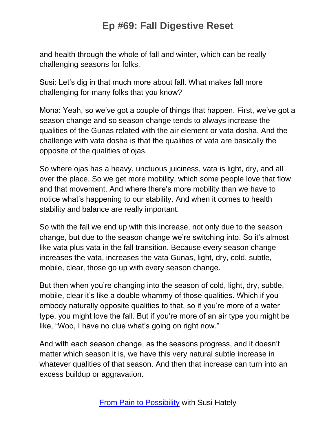and health through the whole of fall and winter, which can be really challenging seasons for folks.

Susi: Let's dig in that much more about fall. What makes fall more challenging for many folks that you know?

Mona: Yeah, so we've got a couple of things that happen. First, we've got a season change and so season change tends to always increase the qualities of the Gunas related with the air element or vata dosha. And the challenge with vata dosha is that the qualities of vata are basically the opposite of the qualities of ojas.

So where ojas has a heavy, unctuous juiciness, vata is light, dry, and all over the place. So we get more mobility, which some people love that flow and that movement. And where there's more mobility than we have to notice what's happening to our stability. And when it comes to health stability and balance are really important.

So with the fall we end up with this increase, not only due to the season change, but due to the season change we're switching into. So it's almost like vata plus vata in the fall transition. Because every season change increases the vata, increases the vata Gunas, light, dry, cold, subtle, mobile, clear, those go up with every season change.

But then when you're changing into the season of cold, light, dry, subtle, mobile, clear it's like a double whammy of those qualities. Which if you embody naturally opposite qualities to that, so if you're more of a water type, you might love the fall. But if you're more of an air type you might be like, "Woo, I have no clue what's going on right now."

And with each season change, as the seasons progress, and it doesn't matter which season it is, we have this very natural subtle increase in whatever qualities of that season. And then that increase can turn into an excess buildup or aggravation.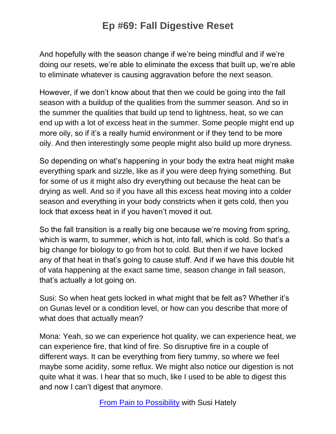And hopefully with the season change if we're being mindful and if we're doing our resets, we're able to eliminate the excess that built up, we're able to eliminate whatever is causing aggravation before the next season.

However, if we don't know about that then we could be going into the fall season with a buildup of the qualities from the summer season. And so in the summer the qualities that build up tend to lightness, heat, so we can end up with a lot of excess heat in the summer. Some people might end up more oily, so if it's a really humid environment or if they tend to be more oily. And then interestingly some people might also build up more dryness.

So depending on what's happening in your body the extra heat might make everything spark and sizzle, like as if you were deep frying something. But for some of us it might also dry everything out because the heat can be drying as well. And so if you have all this excess heat moving into a colder season and everything in your body constricts when it gets cold, then you lock that excess heat in if you haven't moved it out.

So the fall transition is a really big one because we're moving from spring, which is warm, to summer, which is hot, into fall, which is cold. So that's a big change for biology to go from hot to cold. But then if we have locked any of that heat in that's going to cause stuff. And if we have this double hit of vata happening at the exact same time, season change in fall season, that's actually a lot going on.

Susi: So when heat gets locked in what might that be felt as? Whether it's on Gunas level or a condition level, or how can you describe that more of what does that actually mean?

Mona: Yeah, so we can experience hot quality, we can experience heat, we can experience fire, that kind of fire. So disruptive fire in a couple of different ways. It can be everything from fiery tummy, so where we feel maybe some acidity, some reflux. We might also notice our digestion is not quite what it was. I hear that so much, like I used to be able to digest this and now I can't digest that anymore.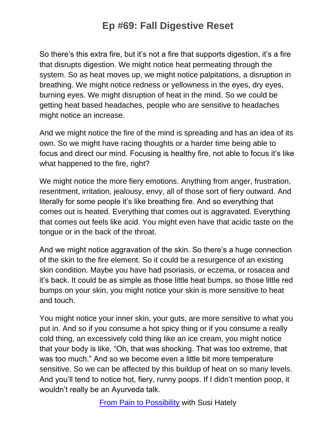So there's this extra fire, but it's not a fire that supports digestion, it's a fire that disrupts digestion. We might notice heat permeating through the system. So as heat moves up, we might notice palpitations, a disruption in breathing. We might notice redness or yellowness in the eyes, dry eyes, burning eyes. We might disruption of heat in the mind. So we could be getting heat based headaches, people who are sensitive to headaches might notice an increase.

And we might notice the fire of the mind is spreading and has an idea of its own. So we might have racing thoughts or a harder time being able to focus and direct our mind. Focusing is healthy fire, not able to focus it's like what happened to the fire, right?

We might notice the more fiery emotions. Anything from anger, frustration, resentment, irritation, jealousy, envy, all of those sort of fiery outward. And literally for some people it's like breathing fire. And so everything that comes out is heated. Everything that comes out is aggravated. Everything that comes out feels like acid. You might even have that acidic taste on the tongue or in the back of the throat.

And we might notice aggravation of the skin. So there's a huge connection of the skin to the fire element. So it could be a resurgence of an existing skin condition. Maybe you have had psoriasis, or eczema, or rosacea and it's back. It could be as simple as those little heat bumps, so those little red bumps on your skin, you might notice your skin is more sensitive to heat and touch.

You might notice your inner skin, your guts, are more sensitive to what you put in. And so if you consume a hot spicy thing or if you consume a really cold thing, an excessively cold thing like an ice cream, you might notice that your body is like, "Oh, that was shocking. That was too extreme, that was too much." And so we become even a little bit more temperature sensitive. So we can be affected by this buildup of heat on so many levels. And you'll tend to notice hot, fiery, runny poops. If I didn't mention poop, it wouldn't really be an Ayurveda talk.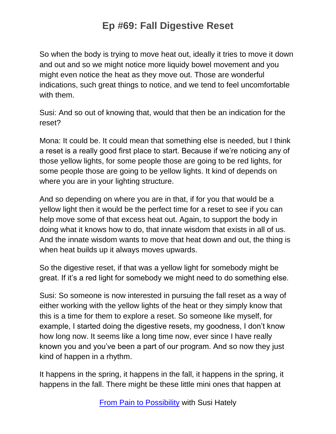So when the body is trying to move heat out, ideally it tries to move it down and out and so we might notice more liquidy bowel movement and you might even notice the heat as they move out. Those are wonderful indications, such great things to notice, and we tend to feel uncomfortable with them.

Susi: And so out of knowing that, would that then be an indication for the reset?

Mona: It could be. It could mean that something else is needed, but I think a reset is a really good first place to start. Because if we're noticing any of those yellow lights, for some people those are going to be red lights, for some people those are going to be yellow lights. It kind of depends on where you are in your lighting structure.

And so depending on where you are in that, if for you that would be a yellow light then it would be the perfect time for a reset to see if you can help move some of that excess heat out. Again, to support the body in doing what it knows how to do, that innate wisdom that exists in all of us. And the innate wisdom wants to move that heat down and out, the thing is when heat builds up it always moves upwards.

So the digestive reset, if that was a yellow light for somebody might be great. If it's a red light for somebody we might need to do something else.

Susi: So someone is now interested in pursuing the fall reset as a way of either working with the yellow lights of the heat or they simply know that this is a time for them to explore a reset. So someone like myself, for example, I started doing the digestive resets, my goodness, I don't know how long now. It seems like a long time now, ever since I have really known you and you've been a part of our program. And so now they just kind of happen in a rhythm.

It happens in the spring, it happens in the fall, it happens in the spring, it happens in the fall. There might be these little mini ones that happen at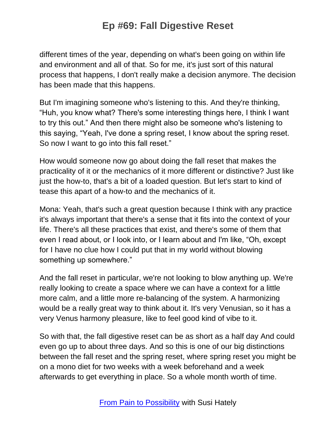different times of the year, depending on what's been going on within life and environment and all of that. So for me, it's just sort of this natural process that happens, I don't really make a decision anymore. The decision has been made that this happens.

But I'm imagining someone who's listening to this. And they're thinking, "Huh, you know what? There's some interesting things here, I think I want to try this out." And then there might also be someone who's listening to this saying, "Yeah, I've done a spring reset, I know about the spring reset. So now I want to go into this fall reset."

How would someone now go about doing the fall reset that makes the practicality of it or the mechanics of it more different or distinctive? Just like just the how-to, that's a bit of a loaded question. But let's start to kind of tease this apart of a how-to and the mechanics of it.

Mona: Yeah, that's such a great question because I think with any practice it's always important that there's a sense that it fits into the context of your life. There's all these practices that exist, and there's some of them that even I read about, or I look into, or I learn about and I'm like, "Oh, except for I have no clue how I could put that in my world without blowing something up somewhere."

And the fall reset in particular, we're not looking to blow anything up. We're really looking to create a space where we can have a context for a little more calm, and a little more re-balancing of the system. A harmonizing would be a really great way to think about it. It's very Venusian, so it has a very Venus harmony pleasure, like to feel good kind of vibe to it.

So with that, the fall digestive reset can be as short as a half day And could even go up to about three days. And so this is one of our big distinctions between the fall reset and the spring reset, where spring reset you might be on a mono diet for two weeks with a week beforehand and a week afterwards to get everything in place. So a whole month worth of time.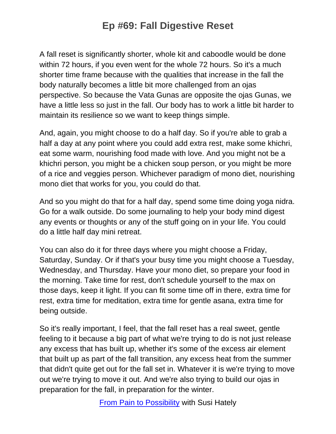A fall reset is significantly shorter, whole kit and caboodle would be done within 72 hours, if you even went for the whole 72 hours. So it's a much shorter time frame because with the qualities that increase in the fall the body naturally becomes a little bit more challenged from an ojas perspective. So because the Vata Gunas are opposite the ojas Gunas, we have a little less so just in the fall. Our body has to work a little bit harder to maintain its resilience so we want to keep things simple.

And, again, you might choose to do a half day. So if you're able to grab a half a day at any point where you could add extra rest, make some khichri, eat some warm, nourishing food made with love. And you might not be a khichri person, you might be a chicken soup person, or you might be more of a rice and veggies person. Whichever paradigm of mono diet, nourishing mono diet that works for you, you could do that.

And so you might do that for a half day, spend some time doing yoga nidra. Go for a walk outside. Do some journaling to help your body mind digest any events or thoughts or any of the stuff going on in your life. You could do a little half day mini retreat.

You can also do it for three days where you might choose a Friday, Saturday, Sunday. Or if that's your busy time you might choose a Tuesday, Wednesday, and Thursday. Have your mono diet, so prepare your food in the morning. Take time for rest, don't schedule yourself to the max on those days, keep it light. If you can fit some time off in there, extra time for rest, extra time for meditation, extra time for gentle asana, extra time for being outside.

So it's really important, I feel, that the fall reset has a real sweet, gentle feeling to it because a big part of what we're trying to do is not just release any excess that has built up, whether it's some of the excess air element that built up as part of the fall transition, any excess heat from the summer that didn't quite get out for the fall set in. Whatever it is we're trying to move out we're trying to move it out. And we're also trying to build our ojas in preparation for the fall, in preparation for the winter.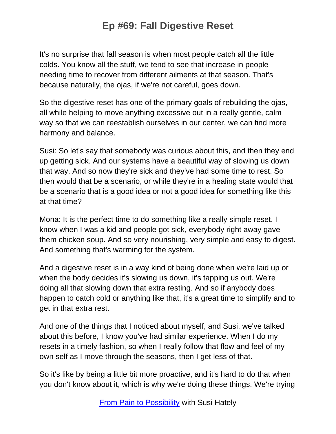It's no surprise that fall season is when most people catch all the little colds. You know all the stuff, we tend to see that increase in people needing time to recover from different ailments at that season. That's because naturally, the ojas, if we're not careful, goes down.

So the digestive reset has one of the primary goals of rebuilding the ojas, all while helping to move anything excessive out in a really gentle, calm way so that we can reestablish ourselves in our center, we can find more harmony and balance.

Susi: So let's say that somebody was curious about this, and then they end up getting sick. And our systems have a beautiful way of slowing us down that way. And so now they're sick and they've had some time to rest. So then would that be a scenario, or while they're in a healing state would that be a scenario that is a good idea or not a good idea for something like this at that time?

Mona: It is the perfect time to do something like a really simple reset. I know when I was a kid and people got sick, everybody right away gave them chicken soup. And so very nourishing, very simple and easy to digest. And something that's warming for the system.

And a digestive reset is in a way kind of being done when we're laid up or when the body decides it's slowing us down, it's tapping us out. We're doing all that slowing down that extra resting. And so if anybody does happen to catch cold or anything like that, it's a great time to simplify and to get in that extra rest.

And one of the things that I noticed about myself, and Susi, we've talked about this before, I know you've had similar experience. When I do my resets in a timely fashion, so when I really follow that flow and feel of my own self as I move through the seasons, then I get less of that.

So it's like by being a little bit more proactive, and it's hard to do that when you don't know about it, which is why we're doing these things. We're trying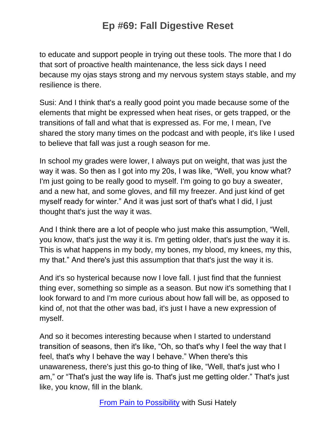to educate and support people in trying out these tools. The more that I do that sort of proactive health maintenance, the less sick days I need because my ojas stays strong and my nervous system stays stable, and my resilience is there.

Susi: And I think that's a really good point you made because some of the elements that might be expressed when heat rises, or gets trapped, or the transitions of fall and what that is expressed as. For me, I mean, I've shared the story many times on the podcast and with people, it's like I used to believe that fall was just a rough season for me.

In school my grades were lower, I always put on weight, that was just the way it was. So then as I got into my 20s, I was like, "Well, you know what? I'm just going to be really good to myself. I'm going to go buy a sweater, and a new hat, and some gloves, and fill my freezer. And just kind of get myself ready for winter." And it was just sort of that's what I did, I just thought that's just the way it was.

And I think there are a lot of people who just make this assumption, "Well, you know, that's just the way it is. I'm getting older, that's just the way it is. This is what happens in my body, my bones, my blood, my knees, my this, my that." And there's just this assumption that that's just the way it is.

And it's so hysterical because now I love fall. I just find that the funniest thing ever, something so simple as a season. But now it's something that I look forward to and I'm more curious about how fall will be, as opposed to kind of, not that the other was bad, it's just I have a new expression of myself.

And so it becomes interesting because when I started to understand transition of seasons, then it's like, "Oh, so that's why I feel the way that I feel, that's why I behave the way I behave." When there's this unawareness, there's just this go-to thing of like, "Well, that's just who I am," or "That's just the way life is. That's just me getting older." That's just like, you know, fill in the blank.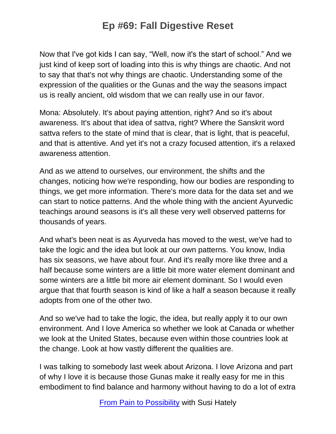Now that I've got kids I can say, "Well, now it's the start of school." And we just kind of keep sort of loading into this is why things are chaotic. And not to say that that's not why things are chaotic. Understanding some of the expression of the qualities or the Gunas and the way the seasons impact us is really ancient, old wisdom that we can really use in our favor.

Mona: Absolutely. It's about paying attention, right? And so it's about awareness. It's about that idea of sattva, right? Where the Sanskrit word sattva refers to the state of mind that is clear, that is light, that is peaceful, and that is attentive. And yet it's not a crazy focused attention, it's a relaxed awareness attention.

And as we attend to ourselves, our environment, the shifts and the changes, noticing how we're responding, how our bodies are responding to things, we get more information. There's more data for the data set and we can start to notice patterns. And the whole thing with the ancient Ayurvedic teachings around seasons is it's all these very well observed patterns for thousands of years.

And what's been neat is as Ayurveda has moved to the west, we've had to take the logic and the idea but look at our own patterns. You know, India has six seasons, we have about four. And it's really more like three and a half because some winters are a little bit more water element dominant and some winters are a little bit more air element dominant. So I would even argue that that fourth season is kind of like a half a season because it really adopts from one of the other two.

And so we've had to take the logic, the idea, but really apply it to our own environment. And I love America so whether we look at Canada or whether we look at the United States, because even within those countries look at the change. Look at how vastly different the qualities are.

I was talking to somebody last week about Arizona. I love Arizona and part of why I love it is because those Gunas make it really easy for me in this embodiment to find balance and harmony without having to do a lot of extra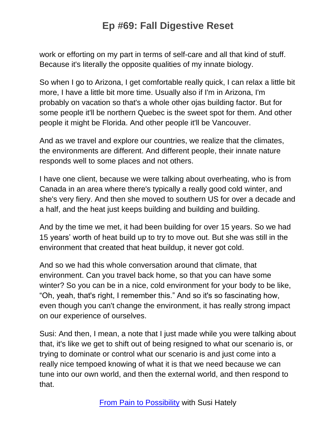work or efforting on my part in terms of self-care and all that kind of stuff. Because it's literally the opposite qualities of my innate biology.

So when I go to Arizona, I get comfortable really quick, I can relax a little bit more, I have a little bit more time. Usually also if I'm in Arizona, I'm probably on vacation so that's a whole other ojas building factor. But for some people it'll be northern Quebec is the sweet spot for them. And other people it might be Florida. And other people it'll be Vancouver.

And as we travel and explore our countries, we realize that the climates, the environments are different. And different people, their innate nature responds well to some places and not others.

I have one client, because we were talking about overheating, who is from Canada in an area where there's typically a really good cold winter, and she's very fiery. And then she moved to southern US for over a decade and a half, and the heat just keeps building and building and building.

And by the time we met, it had been building for over 15 years. So we had 15 years' worth of heat build up to try to move out. But she was still in the environment that created that heat buildup, it never got cold.

And so we had this whole conversation around that climate, that environment. Can you travel back home, so that you can have some winter? So you can be in a nice, cold environment for your body to be like, "Oh, yeah, that's right, I remember this." And so it's so fascinating how, even though you can't change the environment, it has really strong impact on our experience of ourselves.

Susi: And then, I mean, a note that I just made while you were talking about that, it's like we get to shift out of being resigned to what our scenario is, or trying to dominate or control what our scenario is and just come into a really nice tempoed knowing of what it is that we need because we can tune into our own world, and then the external world, and then respond to that.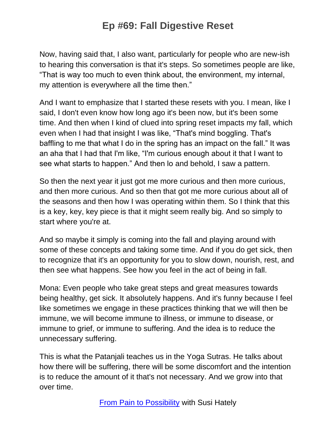Now, having said that, I also want, particularly for people who are new-ish to hearing this conversation is that it's steps. So sometimes people are like, "That is way too much to even think about, the environment, my internal, my attention is everywhere all the time then."

And I want to emphasize that I started these resets with you. I mean, like I said, I don't even know how long ago it's been now, but it's been some time. And then when I kind of clued into spring reset impacts my fall, which even when I had that insight I was like, "That's mind boggling. That's baffling to me that what I do in the spring has an impact on the fall." It was an aha that I had that I'm like, "I'm curious enough about it that I want to see what starts to happen." And then lo and behold, I saw a pattern.

So then the next year it just got me more curious and then more curious, and then more curious. And so then that got me more curious about all of the seasons and then how I was operating within them. So I think that this is a key, key, key piece is that it might seem really big. And so simply to start where you're at.

And so maybe it simply is coming into the fall and playing around with some of these concepts and taking some time. And if you do get sick, then to recognize that it's an opportunity for you to slow down, nourish, rest, and then see what happens. See how you feel in the act of being in fall.

Mona: Even people who take great steps and great measures towards being healthy, get sick. It absolutely happens. And it's funny because I feel like sometimes we engage in these practices thinking that we will then be immune, we will become immune to illness, or immune to disease, or immune to grief, or immune to suffering. And the idea is to reduce the unnecessary suffering.

This is what the Patanjali teaches us in the Yoga Sutras. He talks about how there will be suffering, there will be some discomfort and the intention is to reduce the amount of it that's not necessary. And we grow into that over time.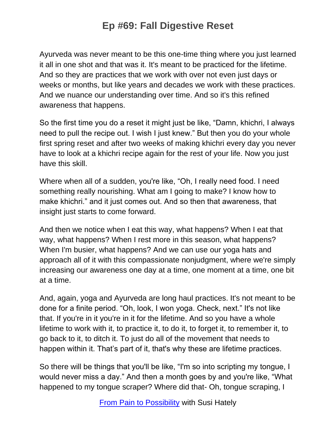Ayurveda was never meant to be this one-time thing where you just learned it all in one shot and that was it. It's meant to be practiced for the lifetime. And so they are practices that we work with over not even just days or weeks or months, but like years and decades we work with these practices. And we nuance our understanding over time. And so it's this refined awareness that happens.

So the first time you do a reset it might just be like, "Damn, khichri, I always need to pull the recipe out. I wish I just knew." But then you do your whole first spring reset and after two weeks of making khichri every day you never have to look at a khichri recipe again for the rest of your life. Now you just have this skill.

Where when all of a sudden, you're like, "Oh, I really need food. I need something really nourishing. What am I going to make? I know how to make khichri." and it just comes out. And so then that awareness, that insight just starts to come forward.

And then we notice when I eat this way, what happens? When I eat that way, what happens? When I rest more in this season, what happens? When I'm busier, what happens? And we can use our yoga hats and approach all of it with this compassionate nonjudgment, where we're simply increasing our awareness one day at a time, one moment at a time, one bit at a time.

And, again, yoga and Ayurveda are long haul practices. It's not meant to be done for a finite period. "Oh, look, I won yoga. Check, next." It's not like that. If you're in it you're in it for the lifetime. And so you have a whole lifetime to work with it, to practice it, to do it, to forget it, to remember it, to go back to it, to ditch it. To just do all of the movement that needs to happen within it. That's part of it, that's why these are lifetime practices.

So there will be things that you'll be like, "I'm so into scripting my tongue, I would never miss a day." And then a month goes by and you're like, "What happened to my tongue scraper? Where did that- Oh, tongue scraping, I